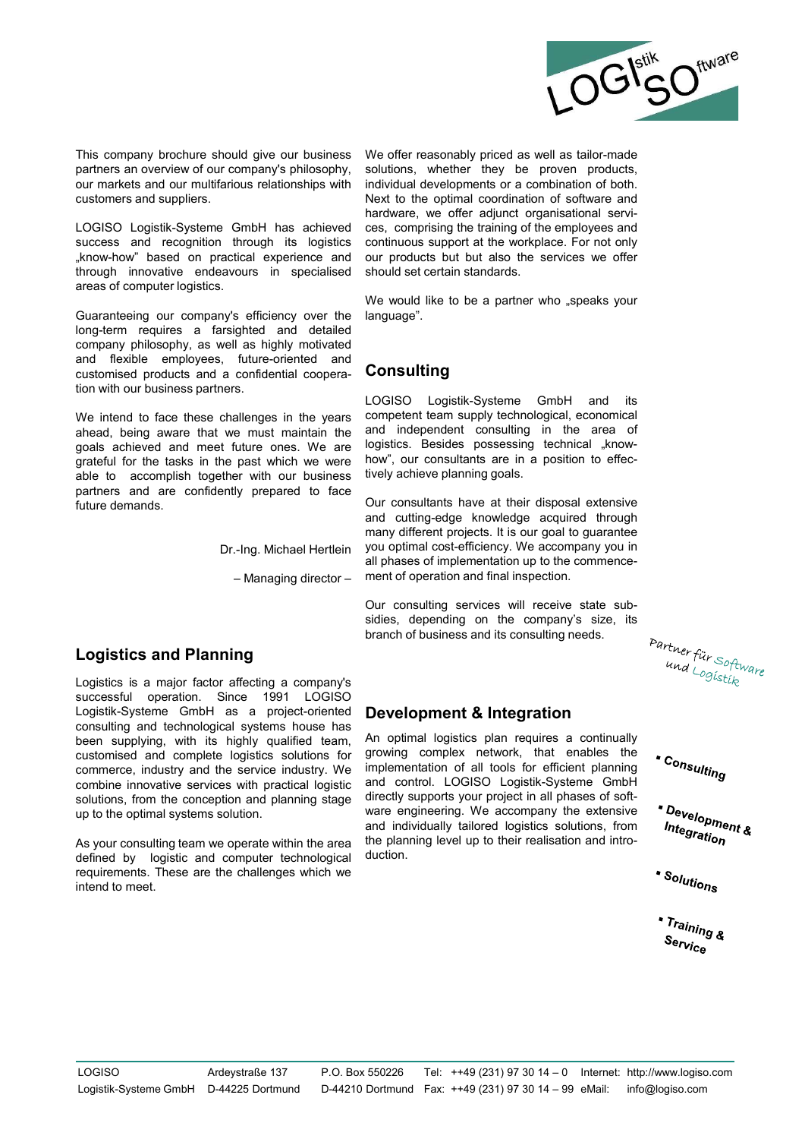

This company brochure should give our business We offer reasonably priced as well and cordinates and our company's philosophy, solutions, whether they be proud customers and suppliers.<br>
Dusting the individual developments Ionglem requires a tarsignise and detailed and new the same that the employes, thure-ofinited and consulting<br>
and flexible employes, future-ofinited and<br>
customised products and a confidential coopera-<br>
to complete the ch

Logistics and Planning

comparison provides and a confidential consulting consulting constrained products and a confidential cooperation. LOGISO Logistik-Systeme CmbH and its two intend to face these challenges in the years competent team supply and liesticle employees, littute-oriented and and conferential and conferent and the employity echincal and a conferent team to the metal to face these challenges in the years competent team supply techniqued, economical<br> customised procedures and a controllate operation and consistent and consistent and the systems of the vents in the vents in the vents of parameter and, because the constraints are part that we must make the must mean of been the the the state challengies in the years and the year of mole that an apply technological, conormized with a share and the state in the state in the year of the state in the year is one constraint in the and indepe We intend to face these challenges in the years completent explorant computers<br>are an absorb the main independent consulting in the ansa of appearance the second points.<br>Special and the main interaction complete the main We meter to be these contents are the service in the version of the service induced the service proportion-<br>anead, being owner that we must maintain the and independent consulting in the area of goals achieved and meter f area to the must marking the air way three induced business and the particle of the particle of the particle of the particle of the particle of the particle of the particle of the particle of the particle of the particle peak acrosses are turned one in the conception and metallities one of the conceptibility in the conceptibility personal conception and material conception is defined to accomplant the part of the conception and control an grateful tor the tasks in the past which we were frow , our cursularis are in a position to theic-<br>sale to accomplish together with our business fively achieve planning goals.<br>
And cutting demands and are confidently prepa partiers and are continently prepared to lace<br>  $\frac{1}{2}$  and cutting degrees and consultants have at their disposal extensive<br>  $\frac{1}{2}$  and cutting team we object to the company of the state with the state with the state by the technological scale of the matter is the act with the total based externed three computer that pays different projects. It is our goal bottomarine technological computer that is our consulting series will receive s Dr.-Ing. Michael Hertlein many different projects. It is our goal to guarantee<br>
Dr.-Ing. Michael Hertlein you optimal costelledency. We accompany you in<br>  $\frac{1}{2}$  all phases of implementation up to the commence-<br>  $\frac{1}{2$ Dr.-Ing. Michael Hertlein you optimal cost-efficiency. It's our goal<br>all phases of implementation up to the<br>all phases of implementation up to the<br>consulting inspection and final inspection<br>of the company<br>sidics, depending

We offer reasonably priced as well as tailor-made<br>solutions, whether they be proven products,<br>individual developments or a combination of software and<br>hardware, we offer adjunct organisation of software and<br>ces, comprising We offer reasonably priced as well as tailor-made<br>solutions, whether they be proven products,<br>individual developments or a combination of both.<br>Next to the optimal coordination of software and<br>hardware, we offer adjunct or We offer reasonably priced as well as tailor-made<br>solutions, where they be proven products,<br>individual developments or a combination of both.<br>Next to the optimal coordination of software and<br>hardware, we offer adjunct orga We offer reasonably priced as well as tailor-made<br>solutions, whether they be proven products,<br>individual developments or a combination of software and<br>hardware, we offer adjunct organisational services.<br>comprising the trai We offer reasonably priced as well as tailor-made<br>solutions, whether they be proven products,<br>individual developments or a combination of both.<br>Next to the optimal coordination of software and<br>hardware, we offer adjunct or We offer reasonably priced as well as tailor-made<br>solutions, whether they be proven products,<br>individual developments or a combination of both.<br>Next to the optimal coordination of software and<br>hardware, we offer adjunct or We offer reasonably priced as well as tailor-made<br>solutions, whether they be proven products,<br>individual developments or a combination of both.<br>Next to the optimal coordination of software and<br>hardware, we offer adjunct or solutions, whether they be proven products,<br>individual developments or a combination of software<br>hardware, we offer adjunct organisational servi-<br>hardware, we offer adjunct organisational servi-<br>ces, comprising the trainin individual developments or a combination of both.<br>Next to the optimal coordination of software and<br>hardware, we offer adjunct organisational services, comprising the training of the employees and<br>continuous support at the Next to the optimal coordination of software and<br>hardware, we offer adjunct organisational servi-<br>eas, comprising the training of the employees and<br>continuous support at the workplace. For not only<br>our products but but als This company brochure should give our business We offer reasonably priced as well as tailor-made<br>partners an overview of our company's philosophy, solutions, whether they be proven products,<br>our markets and our multifariou This company brochure should give our business We offer reasonably priced as well as tailor-made<br>partners an overview of our company's philosophy, solutions, whether they be proven products,<br>our markets and our multifariou This company brochure should give our business We offer reasonably priced as well as tailor-made<br>partners an overview of our company's philosophy, solutions, whether they be proven products,<br>our markets and our multifariou This company brochure should give our business We offer reasonably priced as well as tailor<br>partners an overview of our company's philosophy, solutions, whether they be proven pro<br>customers and our multifarious relationshi This company brochure should give our business We offer reasonably priced as well as tailor-made<br>partners an overview of our company's philosophy, solutions, whether they be proven products,<br>our markets and our multifariou This company brochure should give our business We offer reasonably priced as well as tailor-made partners an overview of our company's philosophy, solutions, whether they be proven products, our markets and our multifario This company brochure should give our business We offer reasonably priced as well as taitor-made partners an overview of our company's philosophy, solutions, whether they be proven products, our mathest sand suppliers.<br>
Du This company brochure should give our business We offer reasonably priced as well as tailor-made partners an overview of our company's philosophy, solutions, whether they be proven products, our markets and our multifariou This company brochure should give our business We offer reasonably priced as well as tailor-markers an overview of our company's philosophy, solutions, whether they be proven productions our markets and our multifarious re This company brochure should give our business. We offer reasonably priced as well as tailor-made partners an overview of our company's philosophy, solutions, whether they be proven products, our markets and our multifario This company brochure should give our business We offer reasonably priocd as well as tailor-made and a such a state of the company's philosophy, solutions, whether they be proven products, our markets and our multitarious This company brochure should give our business. We offer reasonably priced as well as tailor-made partners an overview of our company's philosophy, solutions, whether they be proven products, our markets and our multifari This company brochure should give our business We offer reasonably priord as well as tailor-made partners an overview of our company's philosophy, solutions, whether they be proven products, our company is philosophy, sol This company brochure should give our business We offer reasonably priced as well as tailor-made partners an overview of our company's philosophy, solutions, whether they be proven products, nor markets and our multifario This company brochure should give our business We offer reasonably priced as well as tailor-made partners an overview of our company's philosophy, solutions, whelther they be proven products, we compare the proven by the c This company brochure should give our business We offer reasonably priced as well as tailor-made<br>partners an overview of our company's philosophy, solutions, whether they be proven products,<br>our markets and our nulltranci This company brochure should give our business We offer reasonably priced as well as tailor-made partners an overview of our company's philosophy, solutions, whether they be proven products, our markets and our multifariou This company brochure should give our business We offer reasonably prioed as well as tailor-made<br>partners an overview of our company's philosophy, solutions, whether they be proven products,<br>our markets and our multiplatio This company brochure should give our business We offer reasonably prioed as well as tailor-made partners an overview of our company's philosophy, solutions, what to the optimal coordination of schware customers and suppli This company brochure should give our business We offer reasonably priced as well as tailor-made<br>partners an overview of our company's philosophy, solutions, whether they be proven products,<br>our markets and our nulltraincu This company brochure should give our business We offer reasonably priord as well as tailor-made<br>partners and over which was the confident in the partner in the procession of both confidents<br>partners and our multifarious r We offer reasonably priced as well as tailor-made<br>solutions, whether they be proven products,<br>individual developments or a combination of both.<br>Next to the optimal coordination of software and<br>hardware, we offer adjunct o We offer reasonably priced as well as tailor-made<br>solutions, whether they be proven products,<br>individual developments or a combination of both.<br>Next to the optimal coordination of software and<br>hardware, we offer adjunct o We offer reasonably priced as well as tailor-made<br>solutions, whether they be proven products,<br>individual developments or a combination of both.<br>Next to the optimal coordination of software and<br>hardware, we offer adjunct or We offer reasonably priced as well as tailor-made<br>solutions, whether they be proven products,<br>individual developments or a combination of both.<br>Next to the optimal coordination of software and<br>hardware, we offer adjunct or We offer reasonably priced as well as tailor-made<br>solutions, whether they be proven products,<br>individual developments or a combination of both.<br>Next to the optimal coordination of software and<br>hardware, we offer adjunct or We offer reasonably priced as well as tailor-made<br>solutions, whether they be proven products,<br>individual developments or a combination of both.<br>Next to the optimal coordination of software and<br>hardware, we offer adjunct or We offer reasonably priced as well as tailor-made<br>solutions, whether they be proven products,<br>individual developments or a combination of both.<br>Next to the optimal coordination of software and<br>hardware, we offer adjunct or We offer reasonably priced as well as tailor-made<br>solutions, whether they be proven products,<br>individual developments or a combination of both.<br>hext to the optimal coordination of software and<br>hardware, we offer adjunct or We offer reasonably priced as well as tailor-made<br>solutions, whether they be proven products,<br>individual developments or a combination of both.<br>Next to the optimal coordination of software and<br>hardware, we offer adjunct or We offer reasonably priced as well as tailor-made<br>solutions, whether they be proven products,<br>individual developments or a combination of both.<br>Next to the optimal coordination of software and<br>hardware, we offer adjunct or

language".

## Consulting

hardware, we offer adjunct organisational services, comprising the training of the employees and<br>continuous support at the workplace. For not only<br>our products but but also the services we offer<br>should set certain standar ces, comprising the training of the employees and<br>continuous support at the workplace. For not only<br>our products but also the services we offer<br>should set certain standards.<br>We would like to be a partner who "speaks your<br> our products but but also the services we offer<br>should set certain standards.<br>We would like to be a partner who "speaks your<br>language".<br>Consulting<br>acompetent team supply technological, economical<br>and independent consultin should set certain standards.<br>
We would like to be a partner who "speaks your<br>
language".<br> **CONSUMING**<br>
LOGISO Logistik-Systeme GmbH and its<br>
competent team supply technological, economical<br>
olaystics. Besides possessing We would like to be a partner who "speaks your<br>
language".<br> **Consulting**<br>
Completent team supply technological, economical<br>
and independent consulting in the area of<br>
logistics. Besides possessing technical "know-<br>
how", Dr.-Ing. Michael Hertlein you optimal cost-efficiency. We accompany you in all phases of implementation up to the commence-Smoll has a chieved cess, comprising the training of the employees and<br>dirough its logistics continuous support at the workplace. For not only<br>tical experience and our products but but also the services we offer<br>ours in sp

## Development & Integration

gical systems house has **CONDUMED CONSTRANT CONSTRANT CONSTRANT CONSTRANT AND CONSTRANT AND DEVELOP THE CONSTRANT AND RESPONSE THE CONSTRANT CONSTRANT AND MOREOVER CONSTRANT CONSTRANT CONSTRANT PROPORTION and planning sta** istics plan requires a continually<br>lex network, that enables the<br>of all tools for efficient planning<br>of all tools for efficient planning<br>syour project in all phases of soft-<br>g. We accompany the extensive<br>respective to thei istics plan requires a continually<br>
of all tools for efficient planning<br>
of all tools for efficient planning<br>
oGISO Logistik-Systeme GmbH<br>
syour project in all phases of soft-<br>
g. We accompany the extensive<br>
tailored logi LOGISO Logistik-Systeme GmbH and its<br>
competent team supply technological, economical<br>
and independent consulting in in the area of<br>
logistics. Besides possessing technical "know-<br>
how", our consultants are in a position LOISTO Logistik-System GmbH<br>
and independent computer and interpret from supply technological, economical<br>
and independent consulting in the area of<br>
logistics. Besides possessing technical "know-<br>
how", our consultants a competent team supply technological, economical examplement consultang in the area of<br>logistics. Besides possessing technical "know-<br>how", our consultants are in a position to effec-<br>tively achieve planning goals.<br>Our cons and madependent consulting in the area of<br>logistics. Besides possessing technical "know-<br>how", our consultants are in a position to effec-<br>tively achieve planning goals.<br>Our consultants have at their disposal extensive<br>man In the support of the support of the planting support of the planting support of the solution of the support of the support of the support of the support of the support of the support of the support of the support of the how, our consultants are in a position bettec-<br>tively achieve planning goals.<br>Our consultants have at their disposal extensive<br>and culting-edge knowledge acquired through<br>many different projects. It is our goal to guarant tively achieve planning goals.<br>
Our consultants have at their disposal extensive<br>
many different projects. It is our goal to guarantee<br>
you optimal cost-efficiency. We accompany you in<br>
all phases of inplementation up to t Our consultants have at their disposal extensive<br>and cutting-edge knowledge acquired through<br>many different projects. It is our goal to guarantee<br>you optimal cost-efficiency. We accompany you in<br>all phases of implementati duction.